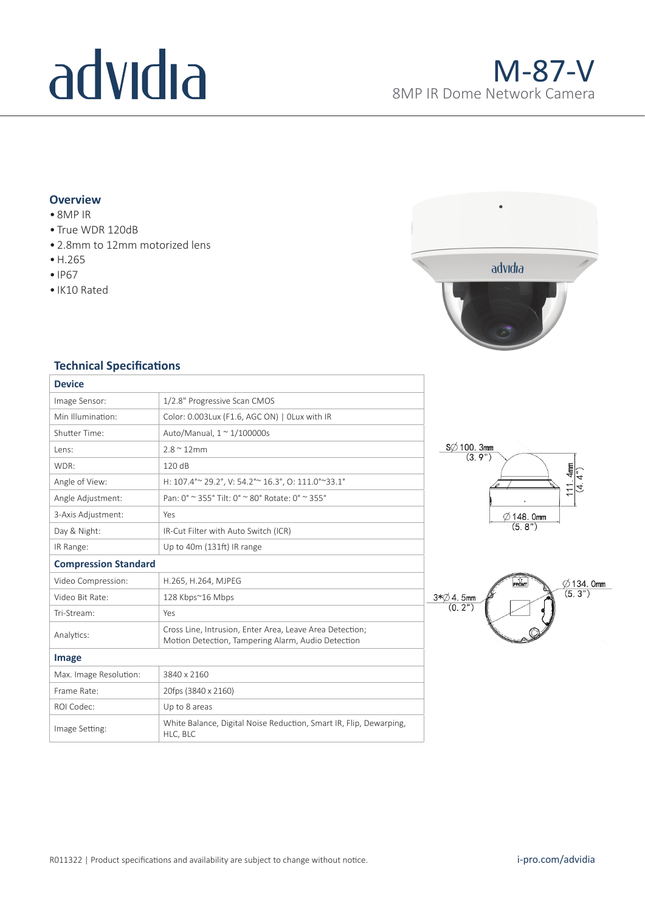# advidia

## **Overview**

- 8MP IR
- True WDR 120dB
- 2.8mm to 12mm motorized lens
- H.265
- IP67
- IK10 Rated



### **Technical Specifications**

| <b>Device</b>               |                                                                                                                |
|-----------------------------|----------------------------------------------------------------------------------------------------------------|
| Image Sensor:               | 1/2.8" Progressive Scan CMOS                                                                                   |
| Min Illumination:           | Color: 0.003Lux (F1.6, AGC ON)   OLux with IR                                                                  |
| <b>Shutter Time:</b>        | Auto/Manual, $1 \approx 1/100000$ s                                                                            |
| Lens:                       | $2.8 \approx 12$ mm                                                                                            |
| WDR:                        | 120 dB                                                                                                         |
| Angle of View:              | H: 107.4° ~ 29.2°, V: 54.2° ~ 16.3°, O: 111.0° ~ 33.1°                                                         |
| Angle Adjustment:           | Pan: 0° ~ 355° Tilt: 0° ~ 80° Rotate: 0° ~ 355°                                                                |
| 3-Axis Adjustment:          | Yes                                                                                                            |
| Day & Night:                | IR-Cut Filter with Auto Switch (ICR)                                                                           |
| IR Range:                   | Up to 40m (131ft) IR range                                                                                     |
| <b>Compression Standard</b> |                                                                                                                |
| Video Compression:          | H.265, H.264, MJPEG                                                                                            |
| Video Bit Rate:             | 128 Kbps~16 Mbps                                                                                               |
| Tri-Stream:                 | Yes                                                                                                            |
| Analytics:                  | Cross Line, Intrusion, Enter Area, Leave Area Detection;<br>Motion Detection, Tampering Alarm, Audio Detection |
| Image                       |                                                                                                                |
| Max. Image Resolution:      | 3840 x 2160                                                                                                    |
| Frame Rate:                 | 20fps (3840 x 2160)                                                                                            |
| ROI Codec:                  | Up to 8 areas                                                                                                  |
| Image Setting:              | White Balance, Digital Noise Reduction, Smart IR, Flip, Dewarping,<br>HLC, BLC                                 |